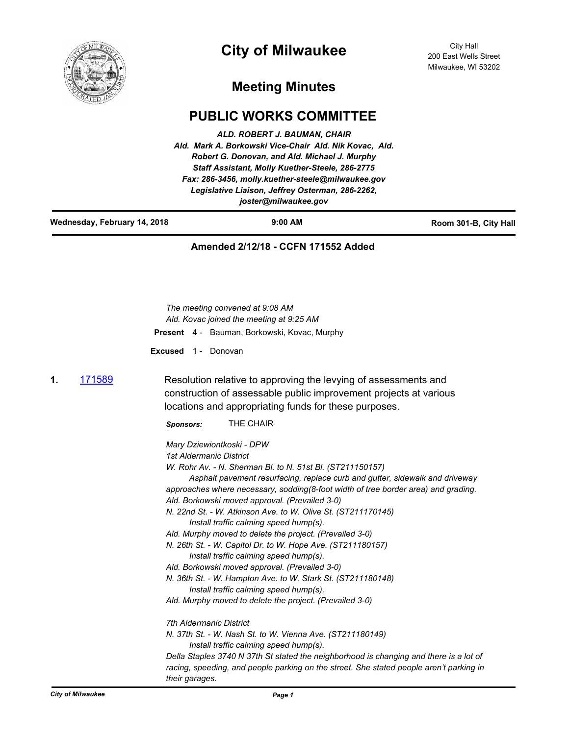

# **City of Milwaukee**

## **Meeting Minutes**

## **PUBLIC WORKS COMMITTEE**

|                              | ALD. ROBERT J. BAUMAN, CHAIR<br>Ald. Mark A. Borkowski Vice-Chair Ald. Nik Kovac, Ald.<br>Robert G. Donovan, and Ald. Michael J. Murphy<br>Staff Assistant, Molly Kuether-Steele, 286-2775<br>Fax: 286-3456, molly.kuether-steele@milwaukee.gov<br>Legislative Liaison, Jeffrey Osterman, 286-2262,<br>joster@milwaukee.gov |                       |
|------------------------------|-----------------------------------------------------------------------------------------------------------------------------------------------------------------------------------------------------------------------------------------------------------------------------------------------------------------------------|-----------------------|
| Wednesday, February 14, 2018 | $9:00$ AM                                                                                                                                                                                                                                                                                                                   | Room 301-B, City Hall |
|                              | Amended 2/12/18 - CCFN 171552 Added                                                                                                                                                                                                                                                                                         |                       |
| <b>Excused</b><br>1 -        | The meeting convened at 9:08 AM<br>Ald. Kovac joined the meeting at 9:25 AM<br><b>Present</b> 4 - Bauman, Borkowski, Kovac, Murphy<br>Donovan                                                                                                                                                                               |                       |

**1.** [171589](http://milwaukee.legistar.com/gateway.aspx?m=l&id=/matter.aspx?key=47451) Resolution relative to approving the levying of assessments and construction of assessable public improvement projects at various locations and appropriating funds for these purposes.

*Sponsors:* THE CHAIR

## *Mary Dziewiontkoski - DPW*

*1st Aldermanic District*

*W. Rohr Av. - N. Sherman Bl. to N. 51st Bl. (ST211150157)*

 *Asphalt pavement resurfacing, replace curb and gutter, sidewalk and driveway approaches where necessary, sodding(8-foot width of tree border area) and grading. Ald. Borkowski moved approval. (Prevailed 3-0)*

*N. 22nd St. - W. Atkinson Ave. to W. Olive St. (ST211170145) Install traffic calming speed hump(s).* 

*Ald. Murphy moved to delete the project. (Prevailed 3-0)*

*N. 26th St. - W. Capitol Dr. to W. Hope Ave. (ST211180157) Install traffic calming speed hump(s).* 

*Ald. Borkowski moved approval. (Prevailed 3-0)*

*N. 36th St. - W. Hampton Ave. to W. Stark St. (ST211180148) Install traffic calming speed hump(s).* 

*Ald. Murphy moved to delete the project. (Prevailed 3-0)*

*7th Aldermanic District*

*N. 37th St. - W. Nash St. to W. Vienna Ave. (ST211180149) Install traffic calming speed hump(s).*

*Della Staples 3740 N 37th St stated the neighborhood is changing and there is a lot of racing, speeding, and people parking on the street. She stated people aren't parking in their garages.*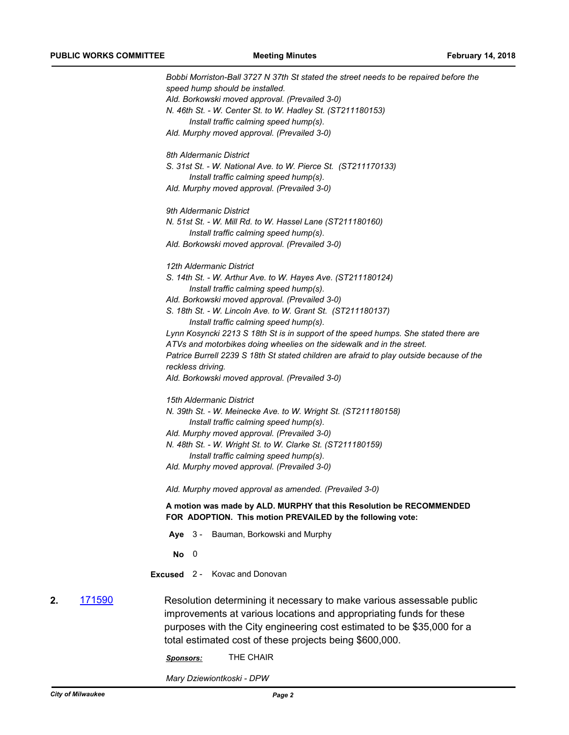*Bobbi Morriston-Ball 3727 N 37th St stated the street needs to be repaired before the speed hump should be installed. Ald. Borkowski moved approval. (Prevailed 3-0) N. 46th St. - W. Center St. to W. Hadley St. (ST211180153) Install traffic calming speed hump(s). Ald. Murphy moved approval. (Prevailed 3-0) 8th Aldermanic District S. 31st St. - W. National Ave. to W. Pierce St. (ST211170133) Install traffic calming speed hump(s). Ald. Murphy moved approval. (Prevailed 3-0) 9th Aldermanic District N. 51st St. - W. Mill Rd. to W. Hassel Lane (ST211180160) Install traffic calming speed hump(s). Ald. Borkowski moved approval. (Prevailed 3-0) 12th Aldermanic District S. 14th St. - W. Arthur Ave. to W. Hayes Ave. (ST211180124) Install traffic calming speed hump(s). Ald. Borkowski moved approval. (Prevailed 3-0) S. 18th St. - W. Lincoln Ave. to W. Grant St. (ST211180137) Install traffic calming speed hump(s). Lynn Kosyncki 2213 S 18th St is in support of the speed humps. She stated there are ATVs and motorbikes doing wheelies on the sidewalk and in the street. Patrice Burrell 2239 S 18th St stated children are afraid to play outside because of the reckless driving. Ald. Borkowski moved approval. (Prevailed 3-0) 15th Aldermanic District N. 39th St. - W. Meinecke Ave. to W. Wright St. (ST211180158) Install traffic calming speed hump(s). Ald. Murphy moved approval. (Prevailed 3-0) N. 48th St. - W. Wright St. to W. Clarke St. (ST211180159) Install traffic calming speed hump(s). Ald. Murphy moved approval. (Prevailed 3-0) Ald. Murphy moved approval as amended. (Prevailed 3-0)* **A motion was made by ALD. MURPHY that this Resolution be RECOMMENDED FOR ADOPTION. This motion PREVAILED by the following vote: Aye** 3 - Bauman, Borkowski and Murphy **No** 0 **Excused** 2 - Kovac and Donovan **2.** [171590](http://milwaukee.legistar.com/gateway.aspx?m=l&id=/matter.aspx?key=47452) Resolution determining it necessary to make various assessable public improvements at various locations and appropriating funds for these purposes with the City engineering cost estimated to be \$35,000 for a total estimated cost of these projects being \$600,000. *Sponsors:* THE CHAIR

*Mary Dziewiontkoski - DPW*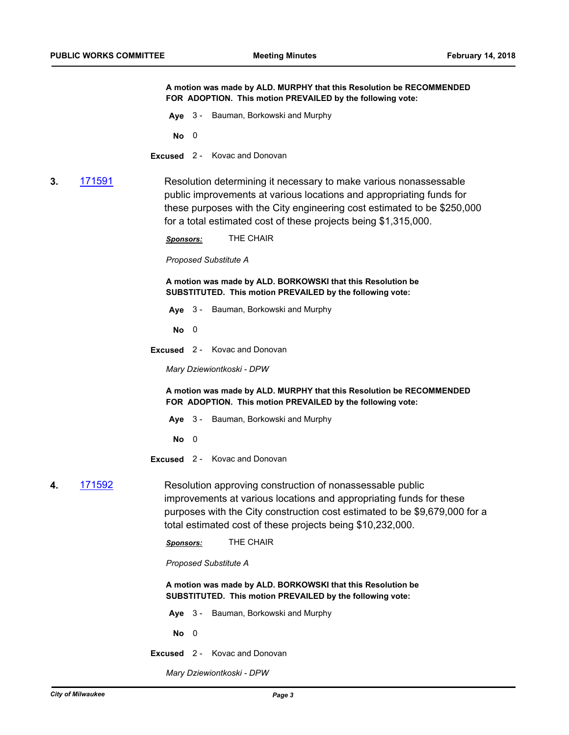**A motion was made by ALD. MURPHY that this Resolution be RECOMMENDED FOR ADOPTION. This motion PREVAILED by the following vote:**

**Aye** 3 - Bauman, Borkowski and Murphy

**No** 0

- **Excused** 2 Kovac and Donovan
- **3.** [171591](http://milwaukee.legistar.com/gateway.aspx?m=l&id=/matter.aspx?key=47453) Resolution determining it necessary to make various nonassessable public improvements at various locations and appropriating funds for these purposes with the City engineering cost estimated to be \$250,000 for a total estimated cost of these projects being \$1,315,000.

*Sponsors:* THE CHAIR

#### *Proposed Substitute A*

**A motion was made by ALD. BORKOWSKI that this Resolution be SUBSTITUTED. This motion PREVAILED by the following vote:**

**Aye** 3 - Bauman, Borkowski and Murphy

**No** 0

**Excused** 2 - Kovac and Donovan

*Mary Dziewiontkoski - DPW*

**A motion was made by ALD. MURPHY that this Resolution be RECOMMENDED FOR ADOPTION. This motion PREVAILED by the following vote:**

**Aye** 3 - Bauman, Borkowski and Murphy

**No** 0

**Excused** 2 - Kovac and Donovan

**4.** [171592](http://milwaukee.legistar.com/gateway.aspx?m=l&id=/matter.aspx?key=47454) Resolution approving construction of nonassessable public improvements at various locations and appropriating funds for these purposes with the City construction cost estimated to be \$9,679,000 for a

total estimated cost of these projects being \$10,232,000.

*Sponsors:* THE CHAIR

*Proposed Substitute A*

**A motion was made by ALD. BORKOWSKI that this Resolution be SUBSTITUTED. This motion PREVAILED by the following vote:**

**Aye** 3 - Bauman, Borkowski and Murphy

**No** 0

**Excused** 2 - Kovac and Donovan

*Mary Dziewiontkoski - DPW*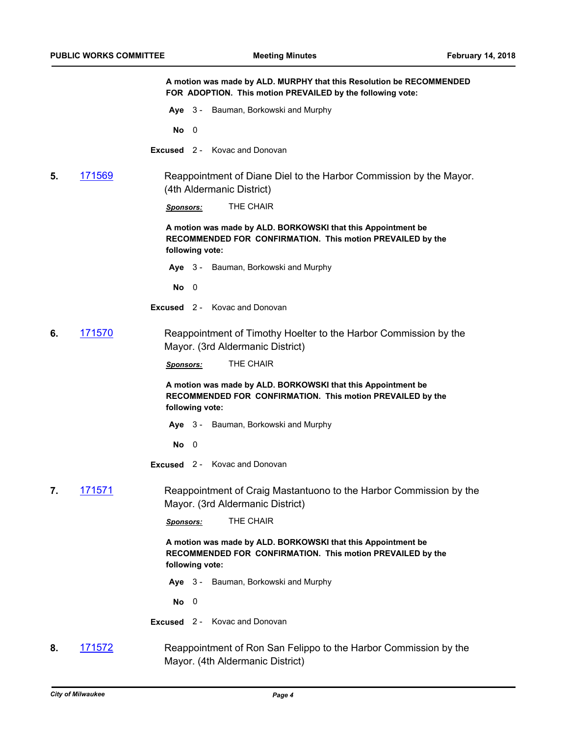**A motion was made by ALD. MURPHY that this Resolution be RECOMMENDED FOR ADOPTION. This motion PREVAILED by the following vote: Aye** 3 - Bauman, Borkowski and Murphy **No** 0 **Excused** 2 - Kovac and Donovan **5.** [171569](http://milwaukee.legistar.com/gateway.aspx?m=l&id=/matter.aspx?key=47429) Reappointment of Diane Diel to the Harbor Commission by the Mayor. (4th Aldermanic District) *Sponsors:* THE CHAIR **A motion was made by ALD. BORKOWSKI that this Appointment be RECOMMENDED FOR CONFIRMATION. This motion PREVAILED by the following vote: Aye** 3 - Bauman, Borkowski and Murphy **No** 0 **Excused** 2 - Kovac and Donovan **6.** [171570](http://milwaukee.legistar.com/gateway.aspx?m=l&id=/matter.aspx?key=47430) Reappointment of Timothy Hoelter to the Harbor Commission by the Mayor. (3rd Aldermanic District) *Sponsors:* THE CHAIR **A motion was made by ALD. BORKOWSKI that this Appointment be RECOMMENDED FOR CONFIRMATION. This motion PREVAILED by the following vote: Aye** 3 - Bauman, Borkowski and Murphy **No** 0 **Excused** 2 - Kovac and Donovan **7.** [171571](http://milwaukee.legistar.com/gateway.aspx?m=l&id=/matter.aspx?key=47431) Reappointment of Craig Mastantuono to the Harbor Commission by the Mayor. (3rd Aldermanic District) *Sponsors:* THE CHAIR **A motion was made by ALD. BORKOWSKI that this Appointment be RECOMMENDED FOR CONFIRMATION. This motion PREVAILED by the following vote: Aye** 3 - Bauman, Borkowski and Murphy **No** 0 **Excused** 2 - Kovac and Donovan **8.** [171572](http://milwaukee.legistar.com/gateway.aspx?m=l&id=/matter.aspx?key=47432) Reappointment of Ron San Felippo to the Harbor Commission by the

Mayor. (4th Aldermanic District)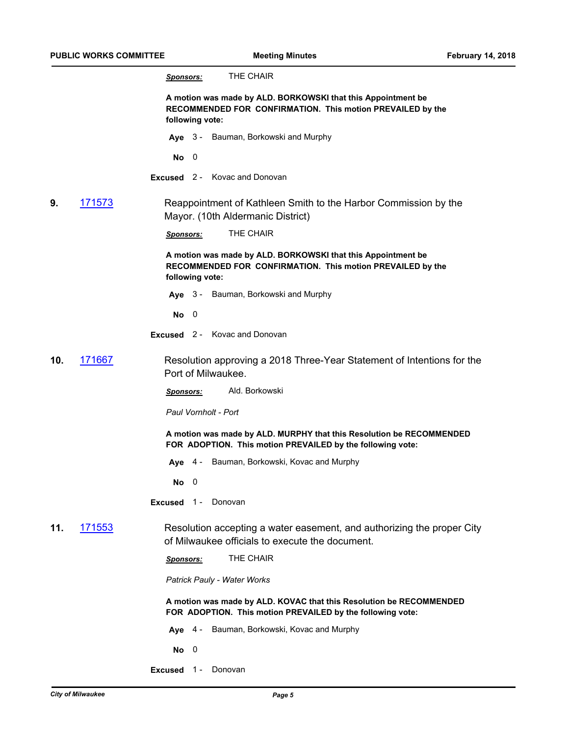| THE CHAIR<br><u>Sponsors:</u><br>A motion was made by ALD. BORKOWSKI that this Appointment be<br>RECOMMENDED FOR CONFIRMATION. This motion PREVAILED by the<br>following vote:<br>Aye 3 - Bauman, Borkowski and Murphy<br>No<br>$\overline{\phantom{0}}$ |  |
|----------------------------------------------------------------------------------------------------------------------------------------------------------------------------------------------------------------------------------------------------------|--|
|                                                                                                                                                                                                                                                          |  |
|                                                                                                                                                                                                                                                          |  |
|                                                                                                                                                                                                                                                          |  |
|                                                                                                                                                                                                                                                          |  |
| Excused 2 - Kovac and Donovan                                                                                                                                                                                                                            |  |
| 9.<br><u> 171573</u><br>Reappointment of Kathleen Smith to the Harbor Commission by the<br>Mayor. (10th Aldermanic District)                                                                                                                             |  |
| THE CHAIR<br><b>Sponsors:</b>                                                                                                                                                                                                                            |  |
| A motion was made by ALD. BORKOWSKI that this Appointment be<br>RECOMMENDED FOR CONFIRMATION. This motion PREVAILED by the<br>following vote:                                                                                                            |  |
| Aye 3 - Bauman, Borkowski and Murphy                                                                                                                                                                                                                     |  |
| $No$ 0                                                                                                                                                                                                                                                   |  |
| <b>Excused</b> 2 - Kovac and Donovan                                                                                                                                                                                                                     |  |
| 171667<br>Resolution approving a 2018 Three-Year Statement of Intentions for the<br>10.<br>Port of Milwaukee.                                                                                                                                            |  |
| Ald. Borkowski<br><u>Sponsors:</u>                                                                                                                                                                                                                       |  |
| Paul Vornholt - Port                                                                                                                                                                                                                                     |  |
| A motion was made by ALD. MURPHY that this Resolution be RECOMMENDED<br>FOR ADOPTION. This motion PREVAILED by the following vote:                                                                                                                       |  |
| Aye 4 - Bauman, Borkowski, Kovac and Murphy                                                                                                                                                                                                              |  |
| $\overline{\mathbf{0}}$<br>No.                                                                                                                                                                                                                           |  |
| <b>Excused</b> 1 - Donovan                                                                                                                                                                                                                               |  |
| 171553<br>11.<br>Resolution accepting a water easement, and authorizing the proper City<br>of Milwaukee officials to execute the document.                                                                                                               |  |
| THE CHAIR<br><u>Sponsors:</u>                                                                                                                                                                                                                            |  |
| Patrick Pauly - Water Works                                                                                                                                                                                                                              |  |
| A motion was made by ALD. KOVAC that this Resolution be RECOMMENDED<br>FOR ADOPTION. This motion PREVAILED by the following vote:                                                                                                                        |  |
| Aye 4 - Bauman, Borkowski, Kovac and Murphy                                                                                                                                                                                                              |  |
| $No$ 0                                                                                                                                                                                                                                                   |  |
| Excused 1 - Donovan                                                                                                                                                                                                                                      |  |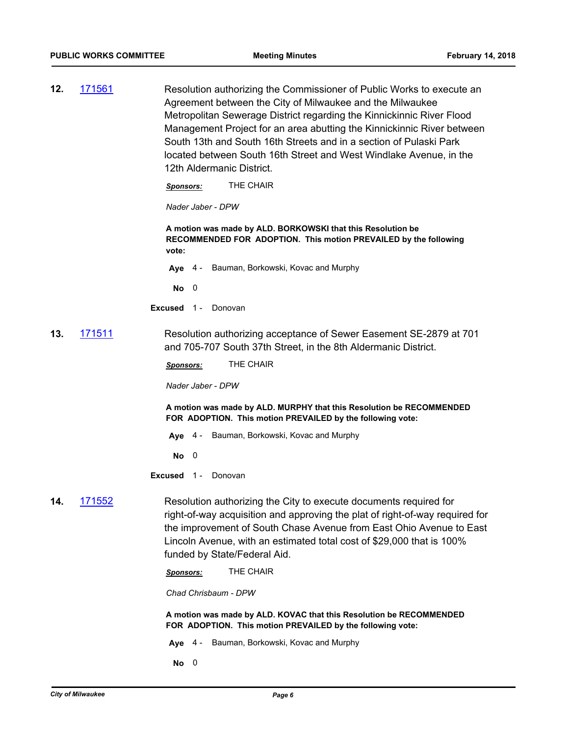**12.** [171561](http://milwaukee.legistar.com/gateway.aspx?m=l&id=/matter.aspx?key=47421) Resolution authorizing the Commissioner of Public Works to execute an Agreement between the City of Milwaukee and the Milwaukee Metropolitan Sewerage District regarding the Kinnickinnic River Flood Management Project for an area abutting the Kinnickinnic River between South 13th and South 16th Streets and in a section of Pulaski Park located between South 16th Street and West Windlake Avenue, in the 12th Aldermanic District.

*Sponsors:* THE CHAIR

*Nader Jaber - DPW*

**A motion was made by ALD. BORKOWSKI that this Resolution be RECOMMENDED FOR ADOPTION. This motion PREVAILED by the following vote:**

**Aye** 4 - Bauman, Borkowski, Kovac and Murphy

**No** 0

**Excused** 1 - Donovan

**13.** [171511](http://milwaukee.legistar.com/gateway.aspx?m=l&id=/matter.aspx?key=47366) Resolution authorizing acceptance of Sewer Easement SE-2879 at 701 and 705-707 South 37th Street, in the 8th Aldermanic District.

*Sponsors:* THE CHAIR

*Nader Jaber - DPW*

**A motion was made by ALD. MURPHY that this Resolution be RECOMMENDED FOR ADOPTION. This motion PREVAILED by the following vote:**

**Aye** 4 - Bauman, Borkowski, Kovac and Murphy

**No** 0

**Excused** 1 - Donovan

**14.** [171552](http://milwaukee.legistar.com/gateway.aspx?m=l&id=/matter.aspx?key=47410) Resolution authorizing the City to execute documents required for right-of-way acquisition and approving the plat of right-of-way required for the improvement of South Chase Avenue from East Ohio Avenue to East Lincoln Avenue, with an estimated total cost of \$29,000 that is 100% funded by State/Federal Aid.

*Sponsors:* THE CHAIR

*Chad Chrisbaum - DPW*

**A motion was made by ALD. KOVAC that this Resolution be RECOMMENDED FOR ADOPTION. This motion PREVAILED by the following vote:**

**Aye** 4 - Bauman, Borkowski, Kovac and Murphy

**No** 0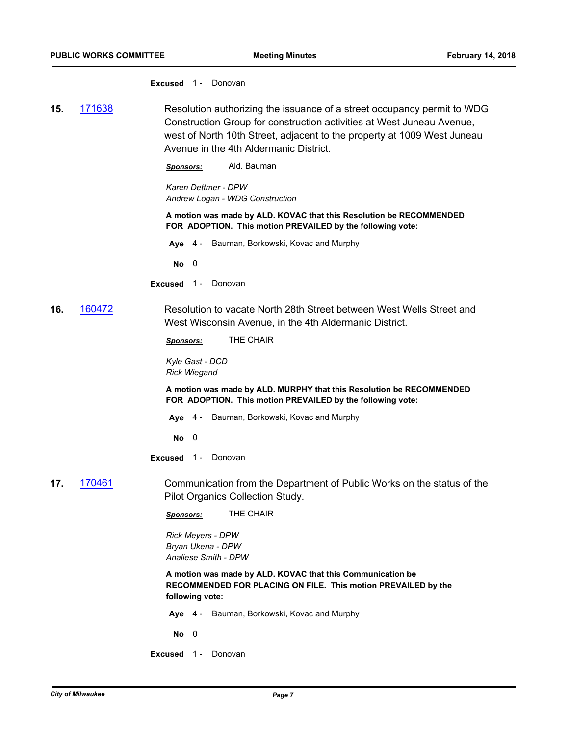#### **Excused** 1 - Donovan

**15.** [171638](http://milwaukee.legistar.com/gateway.aspx?m=l&id=/matter.aspx?key=47508) Resolution authorizing the issuance of a street occupancy permit to WDG Construction Group for construction activities at West Juneau Avenue, west of North 10th Street, adjacent to the property at 1009 West Juneau Avenue in the 4th Aldermanic District.

*Sponsors:* Ald. Bauman

*Karen Dettmer - DPW Andrew Logan - WDG Construction*

**A motion was made by ALD. KOVAC that this Resolution be RECOMMENDED FOR ADOPTION. This motion PREVAILED by the following vote:**

**Aye** 4 - Bauman, Borkowski, Kovac and Murphy

**No** 0

- **Excused** 1 Donovan
- **16.** [160472](http://milwaukee.legistar.com/gateway.aspx?m=l&id=/matter.aspx?key=44193) Resolution to vacate North 28th Street between West Wells Street and West Wisconsin Avenue, in the 4th Aldermanic District.

*Sponsors:* THE CHAIR

*Kyle Gast - DCD Rick Wiegand*

**A motion was made by ALD. MURPHY that this Resolution be RECOMMENDED FOR ADOPTION. This motion PREVAILED by the following vote:**

**Aye** 4 - Bauman, Borkowski, Kovac and Murphy

**No** 0

**Excused** 1 - Donovan

**17.** [170461](http://milwaukee.legistar.com/gateway.aspx?m=l&id=/matter.aspx?key=46184) Communication from the Department of Public Works on the status of the Pilot Organics Collection Study.

*Sponsors:* THE CHAIR

*Rick Meyers - DPW Bryan Ukena - DPW Analiese Smith - DPW*

**A motion was made by ALD. KOVAC that this Communication be RECOMMENDED FOR PLACING ON FILE. This motion PREVAILED by the following vote:**

- **Aye** 4 Bauman, Borkowski, Kovac and Murphy
- **No** 0
- **Excused** 1 Donovan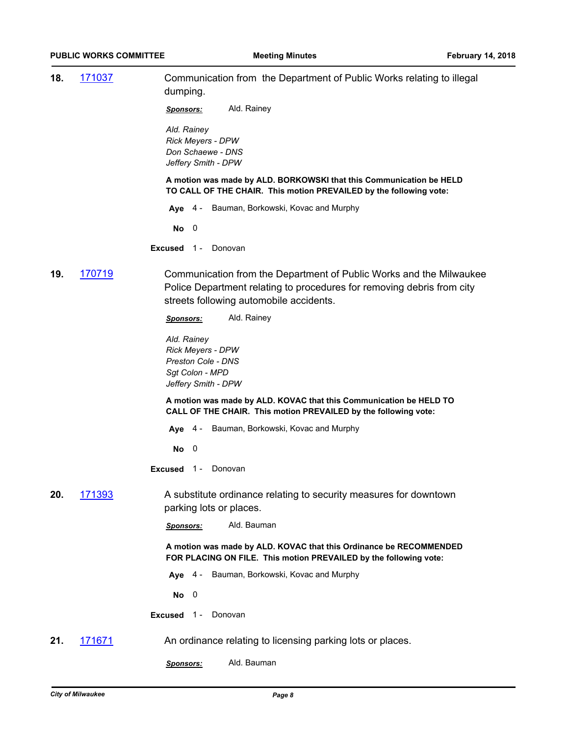|               | <b>PUBLIC WORKS COMMITTEE</b> | <b>Meeting Minutes</b>                                                                                                                                                                   | <b>February 14, 2018</b> |
|---------------|-------------------------------|------------------------------------------------------------------------------------------------------------------------------------------------------------------------------------------|--------------------------|
| 18.           | 171037                        | Communication from the Department of Public Works relating to illegal<br>dumping.                                                                                                        |                          |
|               |                               | Ald. Rainey<br><u>Sponsors:</u>                                                                                                                                                          |                          |
|               |                               | Ald. Rainey<br><b>Rick Meyers - DPW</b><br>Don Schaewe - DNS<br>Jeffery Smith - DPW                                                                                                      |                          |
|               |                               | A motion was made by ALD. BORKOWSKI that this Communication be HELD<br>TO CALL OF THE CHAIR. This motion PREVAILED by the following vote:                                                |                          |
|               |                               | Aye 4 - Bauman, Borkowski, Kovac and Murphy                                                                                                                                              |                          |
|               |                               | $No$ 0                                                                                                                                                                                   |                          |
|               |                               | <b>Excused 1- Donovan</b>                                                                                                                                                                |                          |
| 170719<br>19. |                               | Communication from the Department of Public Works and the Milwaukee<br>Police Department relating to procedures for removing debris from city<br>streets following automobile accidents. |                          |
|               |                               | Ald. Rainey<br><u>Sponsors:</u>                                                                                                                                                          |                          |
|               |                               | Ald. Rainey<br>Rick Meyers - DPW<br>Preston Cole - DNS<br>Sgt Colon - MPD<br>Jeffery Smith - DPW                                                                                         |                          |
|               |                               | A motion was made by ALD. KOVAC that this Communication be HELD TO<br>CALL OF THE CHAIR. This motion PREVAILED by the following vote:                                                    |                          |
|               |                               | Aye 4 - Bauman, Borkowski, Kovac and Murphy                                                                                                                                              |                          |
|               |                               | $No$ 0                                                                                                                                                                                   |                          |
|               |                               | <b>Excused</b> 1 - Donovan                                                                                                                                                               |                          |
| 171393<br>20. |                               | A substitute ordinance relating to security measures for downtown<br>parking lots or places.                                                                                             |                          |
|               |                               | Ald. Bauman<br><b>Sponsors:</b>                                                                                                                                                          |                          |
|               |                               | A motion was made by ALD. KOVAC that this Ordinance be RECOMMENDED<br>FOR PLACING ON FILE. This motion PREVAILED by the following vote:                                                  |                          |
|               |                               | Bauman, Borkowski, Kovac and Murphy<br>Aye $4-$                                                                                                                                          |                          |
|               |                               | $No$ 0                                                                                                                                                                                   |                          |
|               |                               | Excused 1-<br>Donovan                                                                                                                                                                    |                          |
| 21.           | 171671                        | An ordinance relating to licensing parking lots or places.                                                                                                                               |                          |
|               |                               | Ald. Bauman<br>Sponsors:                                                                                                                                                                 |                          |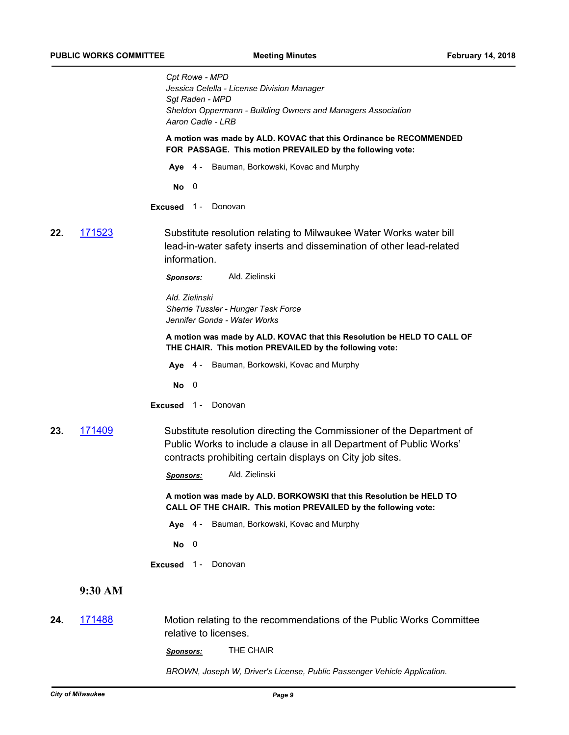*Cpt Rowe - MPD Jessica Celella - License Division Manager Sgt Raden - MPD Sheldon Oppermann - Building Owners and Managers Association Aaron Cadle - LRB* **A motion was made by ALD. KOVAC that this Ordinance be RECOMMENDED FOR PASSAGE. This motion PREVAILED by the following vote: Aye** 4 - Bauman, Borkowski, Kovac and Murphy **No** 0 **Excused** 1 - Donovan **22.** [171523](http://milwaukee.legistar.com/gateway.aspx?m=l&id=/matter.aspx?key=47379) Substitute resolution relating to Milwaukee Water Works water bill lead-in-water safety inserts and dissemination of other lead-related information. *Sponsors:* Ald. Zielinski *Ald. Zielinski Sherrie Tussler - Hunger Task Force Jennifer Gonda - Water Works* **A motion was made by ALD. KOVAC that this Resolution be HELD TO CALL OF THE CHAIR. This motion PREVAILED by the following vote: Aye** 4 - Bauman, Borkowski, Kovac and Murphy **No** 0 **Excused** 1 - Donovan **23.** [171409](http://milwaukee.legistar.com/gateway.aspx?m=l&id=/matter.aspx?key=47250) Substitute resolution directing the Commissioner of the Department of Public Works to include a clause in all Department of Public Works' contracts prohibiting certain displays on City job sites. *Sponsors:* Ald. Zielinski **A motion was made by ALD. BORKOWSKI that this Resolution be HELD TO CALL OF THE CHAIR. This motion PREVAILED by the following vote: Aye** 4 - Bauman, Borkowski, Kovac and Murphy **No** 0 **Excused** 1 - Donovan **9:30 AM 24.** [171488](http://milwaukee.legistar.com/gateway.aspx?m=l&id=/matter.aspx?key=47337) Motion relating to the recommendations of the Public Works Committee relative to licenses. *Sponsors:* THE CHAIR

*BROWN, Joseph W, Driver's License, Public Passenger Vehicle Application.*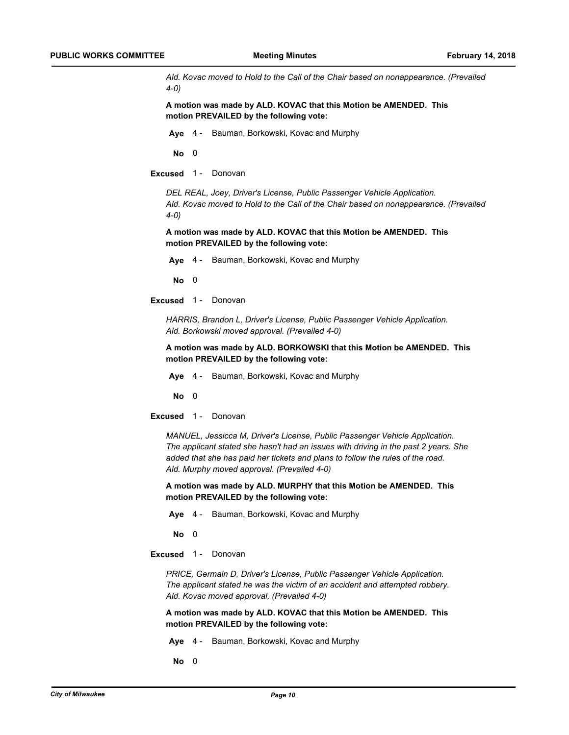*Ald. Kovac moved to Hold to the Call of the Chair based on nonappearance. (Prevailed 4-0)*

**A motion was made by ALD. KOVAC that this Motion be AMENDED. This motion PREVAILED by the following vote:**

**Aye** 4 - Bauman, Borkowski, Kovac and Murphy

**No** 0

**Excused** 1 - Donovan

*DEL REAL, Joey, Driver's License, Public Passenger Vehicle Application. Ald. Kovac moved to Hold to the Call of the Chair based on nonappearance. (Prevailed 4-0)*

**A motion was made by ALD. KOVAC that this Motion be AMENDED. This motion PREVAILED by the following vote:**

**Aye** 4 - Bauman, Borkowski, Kovac and Murphy

**No** 0

**Excused** 1 - Donovan

*HARRIS, Brandon L, Driver's License, Public Passenger Vehicle Application. Ald. Borkowski moved approval. (Prevailed 4-0)*

**A motion was made by ALD. BORKOWSKI that this Motion be AMENDED. This motion PREVAILED by the following vote:**

**Aye** 4 - Bauman, Borkowski, Kovac and Murphy

**No** 0

**Excused** 1 - Donovan

*MANUEL, Jessicca M, Driver's License, Public Passenger Vehicle Application. The applicant stated she hasn't had an issues with driving in the past 2 years. She added that she has paid her tickets and plans to follow the rules of the road. Ald. Murphy moved approval. (Prevailed 4-0)*

**A motion was made by ALD. MURPHY that this Motion be AMENDED. This motion PREVAILED by the following vote:**

**Aye** 4 - Bauman, Borkowski, Kovac and Murphy

**No** 0

**Excused** 1 - Donovan

*PRICE, Germain D, Driver's License, Public Passenger Vehicle Application. The applicant stated he was the victim of an accident and attempted robbery. Ald. Kovac moved approval. (Prevailed 4-0)*

**A motion was made by ALD. KOVAC that this Motion be AMENDED. This motion PREVAILED by the following vote:**

**Aye** 4 - Bauman, Borkowski, Kovac and Murphy

**No** 0